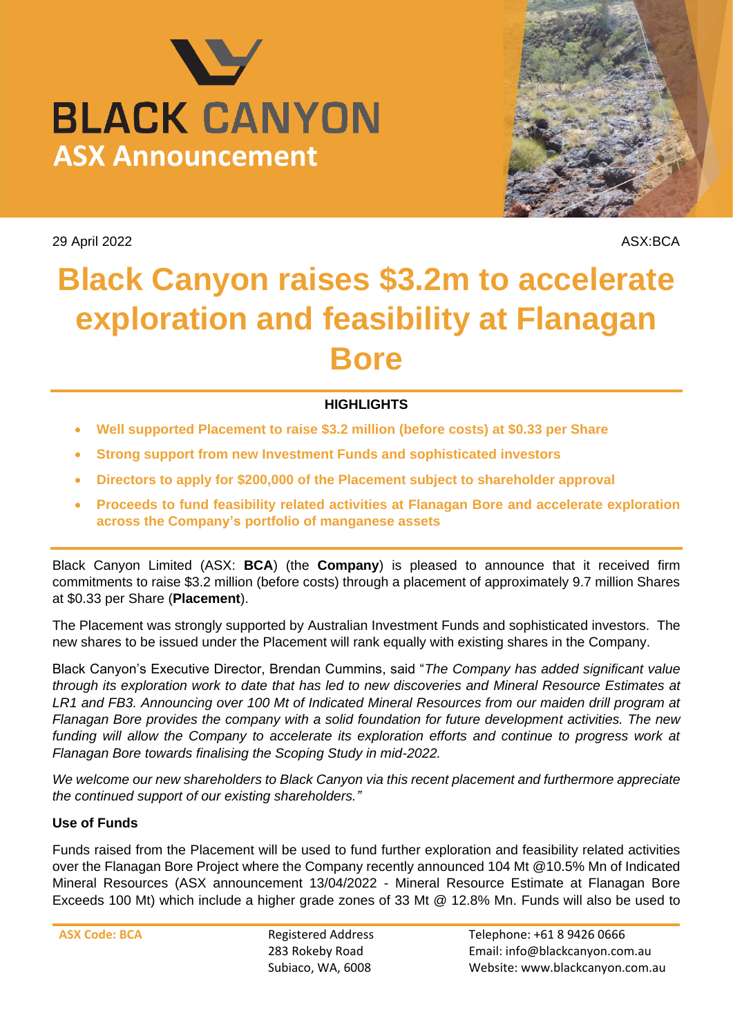



29 April 2022 ASX:BCA

# **Black Canyon raises \$3.2m to accelerate exploration and feasibility at Flanagan Bore**

## **HIGHLIGHTS**

- **Well supported Placement to raise \$3.2 million (before costs) at \$0.33 per Share**
- **Strong support from new Investment Funds and sophisticated investors**
- **Directors to apply for \$200,000 of the Placement subject to shareholder approval**
- **Proceeds to fund feasibility related activities at Flanagan Bore and accelerate exploration across the Company's portfolio of manganese assets**

Black Canyon Limited (ASX: **BCA**) (the **Company**) is pleased to announce that it received firm commitments to raise \$3.2 million (before costs) through a placement of approximately 9.7 million Shares at \$0.33 per Share (**Placement**).

The Placement was strongly supported by Australian Investment Funds and sophisticated investors. The new shares to be issued under the Placement will rank equally with existing shares in the Company.

Black Canyon's Executive Director, Brendan Cummins, said "*The Company has added significant value through its exploration work to date that has led to new discoveries and Mineral Resource Estimates at LR1 and FB3. Announcing over 100 Mt of Indicated Mineral Resources from our maiden drill program at Flanagan Bore provides the company with a solid foundation for future development activities. The new*  funding will allow the Company to accelerate its exploration efforts and continue to progress work at *Flanagan Bore towards finalising the Scoping Study in mid-2022.*

*We welcome our new shareholders to Black Canyon via this recent placement and furthermore appreciate the continued support of our existing shareholders."*

### **Use of Funds**

Funds raised from the Placement will be used to fund further exploration and feasibility related activities over the Flanagan Bore Project where the Company recently announced 104 Mt @10.5% Mn of Indicated Mineral Resources (ASX announcement 13/04/2022 - Mineral Resource Estimate at Flanagan Bore Exceeds 100 Mt) which include a higher grade zones of 33 Mt @ 12.8% Mn. Funds will also be used to

**ASX Code: BCA** Registered Address 283 Rokeby Road Subiaco, WA, 6008

Telephone: +61 8 9426 0666 Email: info@blackcanyon.com.au Website: www.blackcanyon.com.au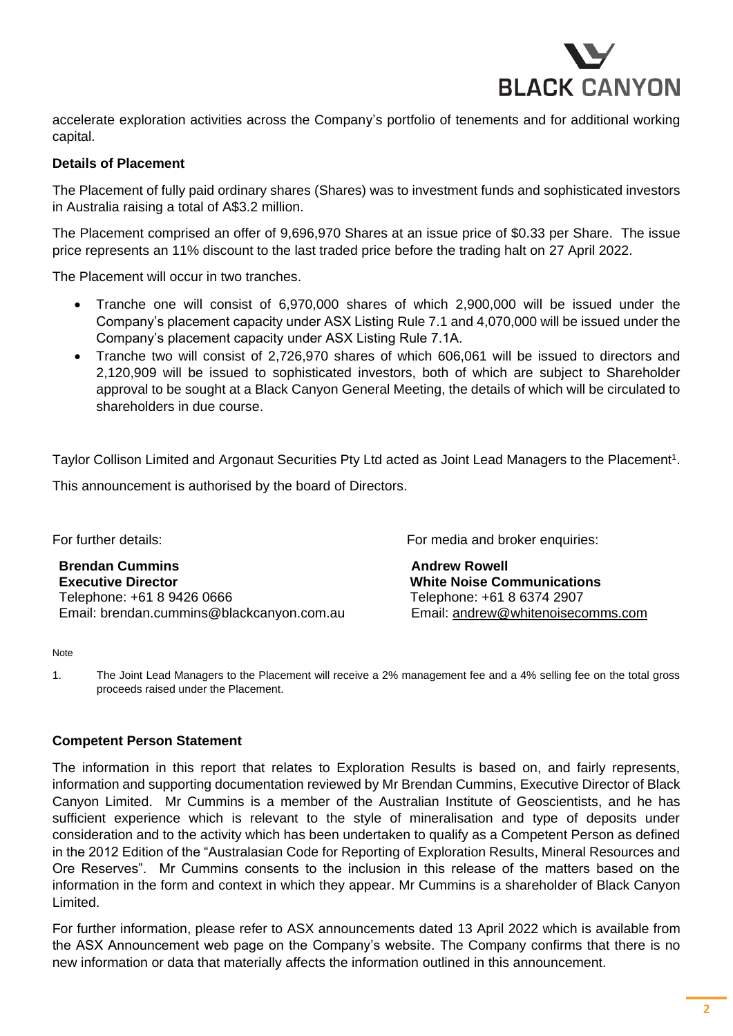

accelerate exploration activities across the Company's portfolio of tenements and for additional working capital.

#### **Details of Placement**

The Placement of fully paid ordinary shares (Shares) was to investment funds and sophisticated investors in Australia raising a total of A\$3.2 million.

The Placement comprised an offer of 9,696,970 Shares at an issue price of \$0.33 per Share. The issue price represents an 11% discount to the last traded price before the trading halt on 27 April 2022.

The Placement will occur in two tranches.

- Tranche one will consist of 6,970,000 shares of which 2,900,000 will be issued under the Company's placement capacity under ASX Listing Rule 7.1 and 4,070,000 will be issued under the Company's placement capacity under ASX Listing Rule 7.1A.
- Tranche two will consist of 2,726,970 shares of which 606,061 will be issued to directors and 2,120,909 will be issued to sophisticated investors, both of which are subject to Shareholder approval to be sought at a Black Canyon General Meeting, the details of which will be circulated to shareholders in due course.

Taylor Collison Limited and Argonaut Securities Pty Ltd acted as Joint Lead Managers to the Placement<sup>1</sup>.

This announcement is authorised by the board of Directors.

**Brendan Cummins Andrew Rowell Executive Director White Noise Communications** Telephone: +61 8 9426 0666 Telephone: +61 8 6374 2907 Email: brendan.cummins@blackcanyon.com.au Email: [andrew@whitenoisecomms.com](mailto:andrew@whitenoisecomms.com)

For further details: For media and broker enquiries:

#### Note

1. The Joint Lead Managers to the Placement will receive a 2% management fee and a 4% selling fee on the total gross proceeds raised under the Placement.

#### **Competent Person Statement**

The information in this report that relates to Exploration Results is based on, and fairly represents, information and supporting documentation reviewed by Mr Brendan Cummins, Executive Director of Black Canyon Limited. Mr Cummins is a member of the Australian Institute of Geoscientists, and he has sufficient experience which is relevant to the style of mineralisation and type of deposits under consideration and to the activity which has been undertaken to qualify as a Competent Person as defined in the 2012 Edition of the "Australasian Code for Reporting of Exploration Results, Mineral Resources and Ore Reserves". Mr Cummins consents to the inclusion in this release of the matters based on the information in the form and context in which they appear. Mr Cummins is a shareholder of Black Canyon Limited.

For further information, please refer to ASX announcements dated 13 April 2022 which is available from the ASX Announcement web page on the Company's website. The Company confirms that there is no new information or data that materially affects the information outlined in this announcement.